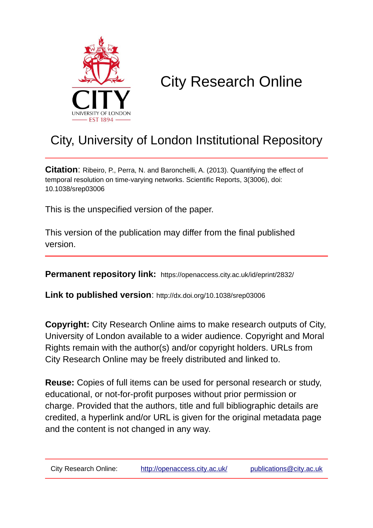

## City Research Online

## City, University of London Institutional Repository

**Citation**: Ribeiro, P., Perra, N. and Baronchelli, A. (2013). Quantifying the effect of temporal resolution on time-varying networks. Scientific Reports, 3(3006), doi: 10.1038/srep03006

This is the unspecified version of the paper.

This version of the publication may differ from the final published version.

**Permanent repository link:** https://openaccess.city.ac.uk/id/eprint/2832/

**Link to published version**: http://dx.doi.org/10.1038/srep03006

**Copyright:** City Research Online aims to make research outputs of City, University of London available to a wider audience. Copyright and Moral Rights remain with the author(s) and/or copyright holders. URLs from City Research Online may be freely distributed and linked to.

**Reuse:** Copies of full items can be used for personal research or study, educational, or not-for-profit purposes without prior permission or charge. Provided that the authors, title and full bibliographic details are credited, a hyperlink and/or URL is given for the original metadata page and the content is not changed in any way.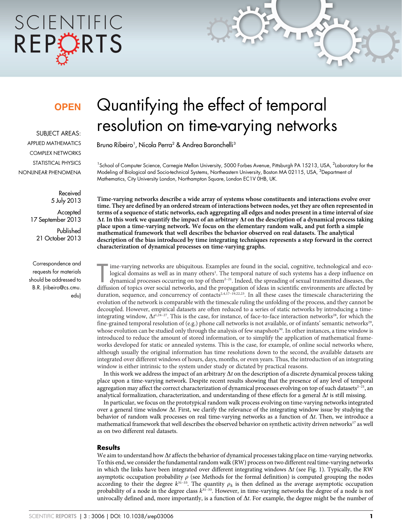# SCIENTIFIC REPCRTS

### **OPFN**

SUBJECT AREAS: APPLIED MATHEMATICS COMPLEX NETWORKS STATISTICAL PHYSICS NONLINEAR PHENOMENA

> Received 5 July 2013 **Accepted** 17 September 2013 Published 21 October 2013

Correspondence and requests for materials should be addressed to B.R. (ribeiro@cs.cmu. edu)

## Quantifying the effect of temporal resolution on time-varying networks

Bruno Ribeiro<sup>1</sup>, Nicola Perra<sup>2</sup> & Andrea Baronchelli<sup>3</sup>

<sup>1</sup>School of Computer Science, Carnegie Mellon University, 5000 Forbes Avenue, Pittsburgh PA 15213, USA, <sup>2</sup>Laboratory for the Modeling of Biological and Socio-technical Systems, Northeastern University, Boston MA 02115, USA, <sup>3</sup>Department of Mathematics, City University London, Northampton Square, London EC1V 0HB, UK.

Time-varying networks describe a wide array of systems whose constituents and interactions evolve over time. They are defined by an ordered stream of interactions between nodes, yet they are often represented in terms of a sequence of static networks, each aggregating all edges and nodes present in a time interval of size  $\Delta t$ . In this work we quantify the impact of an arbitrary  $\Delta t$  on the description of a dynamical process taking place upon a time-varying network. We focus on the elementary random walk, and put forth a simple mathematical framework that well describes the behavior observed on real datasets. The analytical description of the bias introduced by time integrating techniques represents a step forward in the correct characterization of dynamical processes on time-varying graphs.

ime-varying networks are ubiquitous. Examples are found in the social, cognitive, technological and ecological domains as well as in many others<sup>1</sup>. The temporal nature of such systems has a deep influence on dynamical pro ime-varying networks are ubiquitous. Examples are found in the social, cognitive, technological and ecological domains as well as in many others<sup>1</sup>. The temporal nature of such systems has a deep influence on dynamical processes occurring on top of them<sup>2-21</sup>. Indeed, the spreading of sexual transmitted diseases, the duration, sequence, and concurrency of contacts<sup>2,4,17–19,22,23</sup>. In all these cases the timescale characterizing the evolution of the network is comparable with the timescale ruling the unfolding of the process, and they cannot be decoupled. However, empirical datasets are often reduced to a series of static networks by introducing a timeintegrating window,  $\Delta t^{1.24-27}$ . This is the case, for instance, of face-to-face interaction networks<sup>28</sup>, for which the fine-grained temporal resolution of (e.g.) phone call networks is not available, or of infants' semantic networks<sup>29</sup>, whose evolution can be studied only through the analysis of few snapshots<sup>30</sup>. In other instances, a time window is introduced to reduce the amount of stored information, or to simplify the application of mathematical frameworks developed for static or annealed systems. This is the case, for example, of online social networks where, although usually the original information has time resolutions down to the second, the available datasets are integrated over different windows of hours, days, months, or even years. Thus, the introduction of an integrating window is either intrinsic to the system under study or dictated by practical reasons.

In this work we address the impact of an arbitrary  $\Delta t$  on the description of a discrete dynamical process taking place upon a time-varying network. Despite recent results showing that the presence of any level of temporal aggregation may affect the correct characterization of dynamical processes evolving on top of such datasets<sup>2–21</sup>, an analytical formalization, characterization, and understanding of these effects for a general  $\Delta t$  is still missing.

In particular, we focus on the prototypical random walk process evolving on time-varying networks integrated over a general time window  $\Delta t$ . First, we clarify the relevance of the integrating window issue by studying the behavior of random walk processes on real time-varying networks as a function of  $\Delta t$ . Then, we introduce a mathematical framework that well describes the observed behavior on synthetic activity driven networks<sup>17</sup> as well as on two different real datasets.

#### **Results**

We aim to understand how  $\Delta t$  affects the behavior of dynamical processes taking place on time-varying networks. To this end, we consider the fundamental random walk (RW) process on two different real time-varying networks in which the links have been integrated over different integrating windows  $\Delta t$  (see Fig. 1). Typically, the RW asymptotic occupation probability  $\rho$  (see Methods for the formal definition) is computed grouping the nodes according to their the degree  $k^{31-33}$ . The quantity  $\rho_k$  is then defined as the average asymptotic occupation probability of a node in the degree class  $k^{31-33}$ . However, in time-varying networks the degree of a node is not univocally defined and, more importantly, is a function of  $\Delta t$ . For example, the degree might be the number of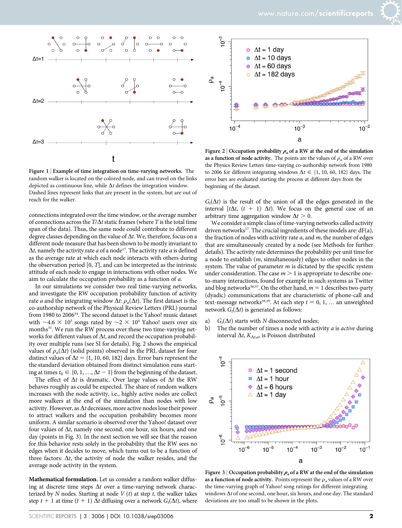



Figure 1 | Example of time integration on time-varying networks. The random walker is located on the colored node, and can travel on the links depicted as continuous line, while  $\Delta t$  defines the integration window. Dashed lines represent links that are present in the system, but are out of reach for the walker.

connections integrated over the time window, or the average number of connections across the  $T/\Delta t$  static frames (where T is the total time span of the data). Thus, the same node could contribute to different degree classes depending on the value of  $\Delta t$ . We, therefore, focus on a different node measure that has been shown to be mostly invariant to  $\Delta t$ , namely the activity rate a of a node<sup>17</sup>. The activity rate a is defined as the average rate at which each node interacts with others during the observation period  $[0, T]$ , and can be interpreted as the intrinsic attitude of each node to engage in interactions with other nodes. We aim to calculate the occupation probability as a function of a.

In our simulations we consider two real time-varying networks, and investigate the RW occupation probability function of activity rate *a* and the integrating window  $\Delta t$ :  $\rho_a(\Delta t)$ . The first dataset is the co-authorship network of the Physical Review Letters (PRL) journal from 1980 to 200634. The second dataset is the Yahoo! music dataset with  $\sim$ 4.6  $\times$  10<sup>5</sup> songs rated by  $\sim$ 2  $\times$  10<sup>4</sup> Yahoo! users over six months<sup>35</sup>. We run the RW process over these two time-varying networks for different values of  $\Delta t$ , and record the occupation probability over multiple runs (see SI for details). Fig. 2 shows the empirical values of  $\rho_a(\Delta t)$  (solid points) observed in the PRL dataset for four distinct values of  $\Delta t = \{1, 10, 60, 182\}$  days. Error bars represent the the standard deviation obtained from distinct simulation runs starting at times  $t_0 \in \{0, 1, ..., \Delta t - 1\}$  from the beginning of the dataset.

The effect of  $\Delta t$  is dramatic. Over large values of  $\Delta t$  the RW behaves roughly as could be expected. The share of random walkers increases with the node activity, i.e., highly active nodes are collect more walkers at the end of the simulation than nodes with low activity. However, as  $\Delta t$  decreases, more active nodes lose their power to attract walkers and the occupation probability becomes more uniform. A similar scenario is observed over the Yahoo! dataset over four values of  $\Delta t$ , namely one second, one hour, six hours, and one day (points in Fig. 3). In the next section we will see that the reason for this behavior rests solely in the probability that the RW sees no edges when it decides to move, which turns out to be a function of three factors:  $\Delta t$ , the activity of node the walker resides, and the average node activity in the system.

Mathematical formulation. Let us consider a random walker diffusing at discrete time steps  $\Delta t$  over a time-varying network characterized by  $N$  nodes. Starting at node  $V(t)$  at step  $t$ , the walker takes step  $t + 1$  at time  $(t + 1) \Delta t$  diffusing over a network  $G_t(\Delta t)$ , where

Figure 2 | Occupation probability  $\rho_a$  of a RW at the end of the simulation as a function of node activity. The points are the values of  $\rho_a$  of a RW over the Physics Review Letters time-varying co-authorship network from 1980 to 2006 for different integrating windows  $\Delta t \in \{1, 10, 60, 182\}$  days. The error bars are evaluated starting the process at different days from the beginning of the dataset.

 $G_t(\Delta t)$  is the result of the union of all the edges generated in the interval  $[t\Delta t, (t + 1) \Delta t)$ . We focus on the general case of an arbitrary time aggregation window  $\Delta t > 0$ .

We consider a simple class of time-varying networks called activity driven networks<sup>17</sup>. The crucial ingredients of these models are:  $dF(a)$ , the fraction of nodes with activity rate  $a$ , and  $m$ , the number of edges that are simultaneously created by a node (see Methods for further details). The activity rate determines the probability per unit time for a node to establish (m, simultaneously) edges to other nodes in the system. The value of parameter  $m$  is dictated by the specific system under consideration. The case  $m > 1$  is appropriate to describe oneto-many interactions, found for example in such systems as Twitter and blog networks<sup>36,37</sup>. On the other hand,  $m = 1$  describes two-party (dyadic) communications that are characteristic of phone-call and text-message networks<sup>38,39</sup>. At each step  $t = 0, 1, ...$  an unweighted network  $G_t(\Delta t)$  is generated as follows:

- a)  $G_t(\Delta t)$  starts with N disconnected nodes;<br>b) The the number of times a node with action
- The the number of times a node with activity  $a$  is active during interval  $\Delta t$ ,  $K_{\Delta t,a}$ , is Poisson distributed



Figure 3 | Occupation probability  $\rho_a$  of a RW at the end of the simulation as a function of node activity. Points represent the  $\rho_a$  values of a RW over the time-varying graph of Yahoo! song ratings for different integrating windows  $\Delta t$  of one second, one hour, six hours, and one day. The standard deviations are too small to be shown in the plots.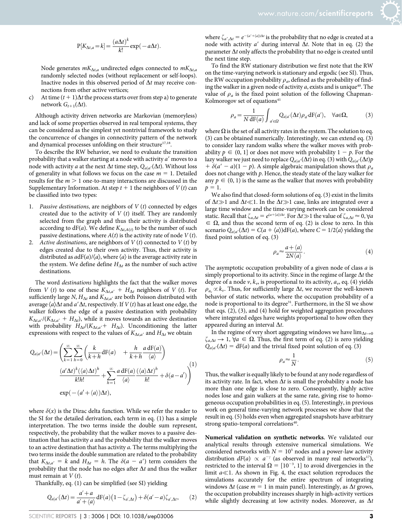$$
P[K_{\Delta t,a} = k] = \frac{(a\Delta t)^k}{k!} \exp(-a\Delta t).
$$

Node generates  $mK_{\Delta t,a}$  undirected edges connected to  $mK_{\Delta t,a}$ randomly selected nodes (without replacement or self-loops). Inactive nodes in this observed period of  $\Delta t$  may receive connections from other active vertices;

c) At time  $(t + 1)\Delta t$  the process starts over from step a) to generate network  $G_{t+1}(\Delta t)$ .

Although activity driven networks are Markovian (memoryless) and lack of some properties observed in real temporal systems, they can be considered as the simplest yet nontrivial framework to study the concurrence of changes in connectivity pattern of the network and dynamical processes unfolding on their structure $17,18$ .

To describe the RW behavior, we need to evaluate the transition probability that a walker starting at a node with activity  $a'$  moves to a node with activity *a* at the next  $\Delta t$  time step,  $Q_{a|a'}(\Delta t)$ . Without loss of generality in what follows we focus on the case  $m = 1$ . Detailed results for the  $m > 1$  one-to-many interactions are discussed in the Supplementary Information. At step  $t + 1$  the neighbors of  $V(t)$  can be classified into two types:

- 1. Passive destinations, are neighbors of  $V(t)$  connected by edges created due to the activity of  $V(t)$  itself. They are randomly selected from the graph and thus their activity is distributed according to  $dF(a)$ . We define  $K_{\Delta t, A(t)}$  to be the number of such passive destinations, where  $A(t)$  is the activity rate of node  $V(t)$ .
- 2. Active destinations, are neighbors of  $V(t)$  connected to  $V(t)$  by edges created due to their own activity. Thus, their activity is distributed as  $adF(a)/\langle a \rangle$ , where  $\langle a \rangle$  is the average activity rate in the system. We define define  $H_{\Delta t}$  as the number of such active destinations.

The word destinations highlights the fact that the walker moves from V (t) to one of these  $K_{\Delta t, a'} + H_{\Delta t}$  neighbors of V (t). For sufficiently large N,  $H_{\Delta t}$  and  $K_{\Delta t, a'}$  are both Poisson distributed with average  $\langle a \rangle \Delta t$  and  $a' \Delta t$ , respectively. If  $V(t)$  has at least one edge, the walker follows the edge of a passive destination with probability  $K_{\Delta t, a'}/(K_{\Delta t, a'} + H_{\Delta t})$ , while it moves towards an active destination with probability  $H_{\Delta t}/(K_{\Delta t, a'} + H_{\Delta t})$ . Unconditioning the latter expressions with respect to the values of  $K_{\Delta t, a'}$  and  $H_{\Delta t}$  we obtain

$$
Q_{a|a'}(\Delta t) = \left(\sum_{k=1}^{\infty} \sum_{h=0}^{\infty} \left(\frac{k}{k+h} dF(a) + \frac{h}{k+h} \frac{a dF(a)}{\langle a \rangle}\right) + \frac{(a'\Delta t)^k (\langle a \rangle \Delta t)^h}{k!h!} + \sum_{h=1}^{\infty} \frac{a dF(a)}{\langle a \rangle} \frac{(\langle a \rangle \Delta t)^h}{h!} + \delta(a-a')\right)^{(1)}
$$

$$
\exp(-(a'+\langle a \rangle)\Delta t),
$$

where  $\delta(x)$  is the Dirac delta function. While we refer the reader to the SI for the detailed derivation, each term in eq. (1) has a simple interpretation. The two terms inside the double sum represent, respectively, the probability that the walker moves to a passive destination that has activity  $a$  and the probability that the walker moves to an active destination that has activity  $a$ . The terms multiplying the two terms inside the double summation are related to the probability that  $K_{\Delta t, a'} = k$  and  $H_{\Delta t} = h$ . The  $\delta(a - a')$  term considers the probability that the node has no edges after  $\Delta t$  and thus the walker must remain at  $V(t)$ .

Thankfully, eq. (1) can be simplified (see SI) yielding

$$
Q_{a|a'}(\Delta t) = \frac{a'+a}{a'+\langle a \rangle} dF(a) \left(1 - \zeta_{a',\Delta t}\right) + \delta(a'-a)\zeta_{a',\Delta t},\qquad(2)
$$

where  $\zeta_{a',\Delta t} = e^{-(a'+\langle a \rangle)\Delta t}$  is the probability that no edge is created at a node with activity a' during interval  $\Delta t$ . Note that in eq. (2) the parameter  $\Delta t$  only affects the probability that no edge is created until the next time step.

To find the RW stationary distribution we first note that the RW on the time-varying network is stationary and ergodic (see SI). Thus, the RW occupation probability  $\rho_a$ , defined as the probability of finding the walker in a given node of activity  $a$ , exists and is unique<sup>40</sup>. The value of  $\rho_a$  is the fixed point solution of the following Chapman-Kolmorogov set of equations<sup>41</sup>

$$
\rho_a = \frac{1}{N \, dF(a)} \int_{a' \in \Omega} Q_{a|a'}(\Delta t) \rho_{a'} dF(a'), \quad \forall a \in \Omega,
$$
 (3)

where  $\Omega$  is the set of all activity rates in the system. The solution to eq. (3) can be obtained numerically. Interestingly, we can extend eq. (3) to consider lazy random walks where the walker moves with probability  $p \in (0, 1]$  or does not move with probability  $1 - p$ . For the lazy walker we just need to replace  $Q_{a|a'}(\Delta t)$  in eq. (3) with  $Q_{a|a'}(\Delta t)p$  $\partial^2 + \delta(a'-a)(1-p)$ . A simple algebraic manipulation shows that  $\rho_a$ does not change with  $p$ . Hence, the steady state of the lazy walker for any  $p \in (0, 1)$  is the same as the walker that moves with probability  $p = 1.$ 

We also find that closed-form solutions of eq. (3) exist in the limits of  $\Delta t \gg 1$  and  $\Delta t \ll 1$ . In the  $\Delta t \gg 1$  case, links are integrated over a large time window and the time-varying network can be considered static. Recall that  $\zeta_{a,\Delta t} = e^{(a+\langle a \rangle)\Delta t}$ . For  $\Delta t \gg 1$  the value of  $\zeta_{a,\Delta t} \approx 0$ ,  $\forall a$  $\epsilon \in \Omega$ , and thus the second term of eq. (2) is close to zero. In this scenario  $Q_{a|a'}(\Delta t) = C(a + \langle a \rangle) dF(a)$ , where  $C = 1/2\langle a \rangle$  yielding the fixed point solution of eq. (3)

$$
\rho_a \approx \frac{a + \langle a \rangle}{2N \langle a \rangle}.\tag{4}
$$

The asymptotic occupation probability of a given node of class a is simply proportional to its activity. Since in the regime of large  $\Delta t$  the degree of a node  $v$ ,  $k_v$ , is proportional to its activity,  $a_v$ , eq. (4) yields  $\rho_{a} \propto k_{\nu}$ . Thus, for sufficiently large  $\Delta t$ , we recover the well-known behavior of static networks, where the occupation probability of a node is proportional to its degree<sup>31</sup>. Furthermore, in the SI we show that eqs. (2), (3), and (4) hold for weighted aggregation procedures where integrated edges have weights proportional to how often they appeared during an interval  $\Delta t$ .

In the regime of very short aggregating windows we have  $\lim_{\Delta t\to 0}$  $\zeta_{a,\Delta t} \to 1$ ,  $\forall a \in \Omega$ . Thus, the first term of eq. (2) is zero yielding  $Q_{a|a'}(\Delta t) = dF(a)$  and the trivial fixed point solution of eq. (3)

$$
\rho_a \approx \frac{1}{N}.\tag{5}
$$

Thus, the walker is equally likely to be found at any node regardless of its activity rate. In fact, when  $\Delta t$  is small the probability a node has more than one edge is close to zero. Consequently, highly active nodes lose and gain walkers at the same rate, giving rise to homogeneous occupation probabilities in eq. (5). Interestingly, in previous work on general time-varying network processes we show that the result in eq. (5) holds even when aggregated snapshots have arbitrary strong spatio-temporal correlations<sup>40</sup>.

Numerical validation on synthetic networks. We validated our analytical results through extensive numerical simulations. We considered networks with  $N = 10<sup>5</sup>$  nodes and a power-law activity distribution  $dF(a) \propto a^{-\gamma}$  (as observed in many real networks<sup>17</sup>), restricted to the interval  $\Omega = [10^{-3}, 1]$  to avoid divergencies in the limit  $a \ll 1$ . As shown in Fig. 4, the exact solution reproduces the simulations accurately for the entire spectrum of integrating windows  $\Delta t$  (case  $m = 1$  in main panel). Interestingly, as  $\Delta t$  grows, the occupation probability increases sharply in high-activity vertices while slightly decreasing at low activity nodes. Moreover, as  $\Delta t$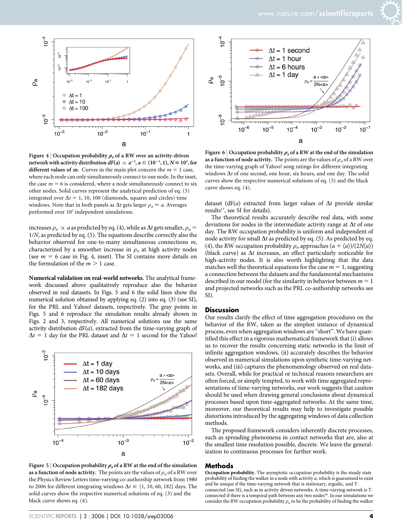

Figure 4 | Occupation probability  $\rho_a$  of a RW over an activity-driven network with activity distribution  $dF(a) \propto a^{-2}$ ,  $a \in (10^{-3}, 1)$ ,  $N = 10^5$ , for different values of m. Curves in the main plot concern the  $m = 1$  case, where each node can only simultaneously connect to one node. In the inset, the case  $m = 6$  is considered, where a node simultaneously connect to six other nodes. Solid curves represent the analytical prediction of eq. (3) integrated over  $\Delta t = 1$ , 10, 100 (diamonds, squares and circles) time windows. Note that in both panels as  $\Delta t$  gets larger  $\rho_a \approx a$ . Averages performed over  $10<sup>3</sup>$  independent simulations.

increases  $\rho_a \propto a$  as predicted by eq. (4), while as  $\Delta t$  gets smaller,  $\rho_a$  = 1/N, as predicted by eq. (5). The equations describe correctly also the behavior observed for one-to-many simultaneous connections m, characterized by a smoother increase in  $\rho_a$  at high activity nodes (see  $m = 6$  case in Fig. 4, inset). The SI contains more details on the formulation of the  $m > 1$  case.

Numerical validation on real-world networks. The analytical framework discussed above qualitatively reproduce also the behavior observed in real datasets. In Figs. 5 and 6 the solid lines show the numerical solution obtained by applying eq. (2) into eq. (3) (see SI), for the PRL and Yahoo! datasets, respectively. The gray points in Figs. 5 and 6 reproduce the simulation results already shown in Figs. 2 and 3, respectively. All numerical solutions use the same activity distribution  $dF(a)$ , extracted from the time-varying graph of  $\Delta t = 1$  day for the PRL dataset and  $\Delta t = 1$  second for the Yahoo!



Figure 5 | Occupation probability  $\rho_a$  of a RW at the end of the simulation as a function of node activity. The points are the values of  $\rho_a$  of a RW over the Physics Review Letters time-varying co-authorship network from 1980 to 2006 for different integrating windows  $\Delta t \in \{1, 10, 60, 182\}$  days. The solid curves show the respective numerical solutions of eq. (3) and the black curve shows eq. (4).



Figure 6 | Occupation probability  $\rho_a$  of a RW at the end of the simulation as a function of node activity. The points are the values of  $\rho_a$  of a RW over the time-varying graph of Yahoo! song ratings for different integrating windows  $\Delta t$  of one second, one hour, six hours, and one day. The solid curves show the respective numerical solutions of eq. (3) and the black curve shows eq. (4).

dataset (dF(a) extracted from larger values of  $\Delta t$  provide similar results $^{17}$ , see SI for details).

The theoretical results accurately describe real data, with some deviations for nodes in the intermediate activity range at  $\Delta t$  of one day. The RW occupation probability is uniform and independent of node activity for small  $\Delta t$  as predicted by eq. (5). As predicted by eq. (4), the RW occupation probability  $\rho_a$  approaches  $(a + \langle a \rangle)/(2N\langle a \rangle)$ (black curve) as  $\Delta t$  increases, an effect particularly noticeable for high-activity nodes. It is also worth highlighting that the data matches well the theoretical equations for the case  $m = 1$ , suggesting a connection between the datasets and the fundamental mechanisms described in our model (for the similarity in behavior between  $m = 1$ and projected networks such as the PRL co-authorship networks see SI).

#### **Discussion**

Our results clarify the effect of time aggregation procedures on the behavior of the RW, taken as the simplest instance of dynamical process, even when aggregation windows are ''short''. We have quantified this effect in a rigorous mathematical framework that (i) allows us to recover the results concerning static networks in the limit of infinite aggregation windows, (ii) accurately describes the behavior observed in numerical simulations upon synthetic time-varying networks, and (iii) captures the phenomenology observed on real datasets. Overall, while for practical or technical reasons researchers are often forced, or simply tempted, to work with time aggregated representations of time-varying networks, our work suggests that caution should be used when drawing general conclusions about dynamical processes based upon time-aggregated networks. At the same time, moreover, our theoretical results may help to investigate possible distortions introduced by the aggregating windows of data collection methods.

The proposed framework considers inherently discrete processes, such as spreading phenomena in contact networks that are, also at the smallest time resolution possible, discrete. We leave the generalization to continuous processes for further work.

#### Methods

Occupation probability. The asymptotic occupation probability is the steady state probability of finding the walker in a node with activity  $a$ , which is guaranteed to exist and be unique if the time-varying network that is stationary, ergodic, and Tconnected (see SI), such as in activity driven networks. A time-varying network is T-<br>connected if there is a temporal path between any two nodes<sup>40</sup>. In our simulations we consider the RW occupation probability  $\rho_a$  to be the probability of finding the walker